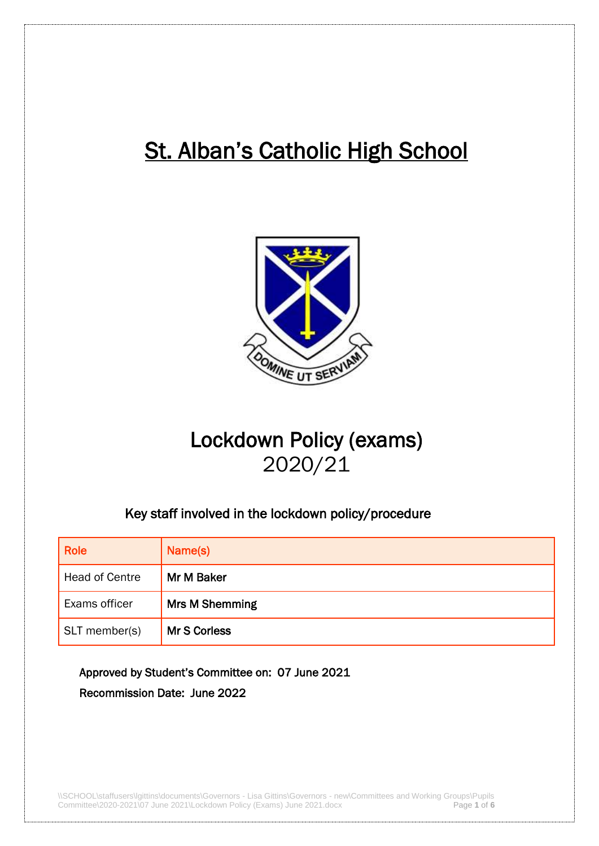# St. Alban's Catholic High School



## Lockdown Policy (exams) 2020/21

## Key staff involved in the lockdown policy/procedure

| Role                  | Name(s)               |
|-----------------------|-----------------------|
| <b>Head of Centre</b> | Mr M Baker            |
| Exams officer         | <b>Mrs M Shemming</b> |
| SLT member(s)         | <b>Mr S Corless</b>   |

Approved by Student's Committee on: 07 June 2021 Recommission Date: June 2022

\\SCHOOL\staffusers\lgittins\documents\Governors - Lisa Gittins\Governors - new\Committees and Working Groups\Pupils Committee\2020-2021\07 June 2021\Lockdown Policy (Exams) June 2021.docx Page **1** of **6**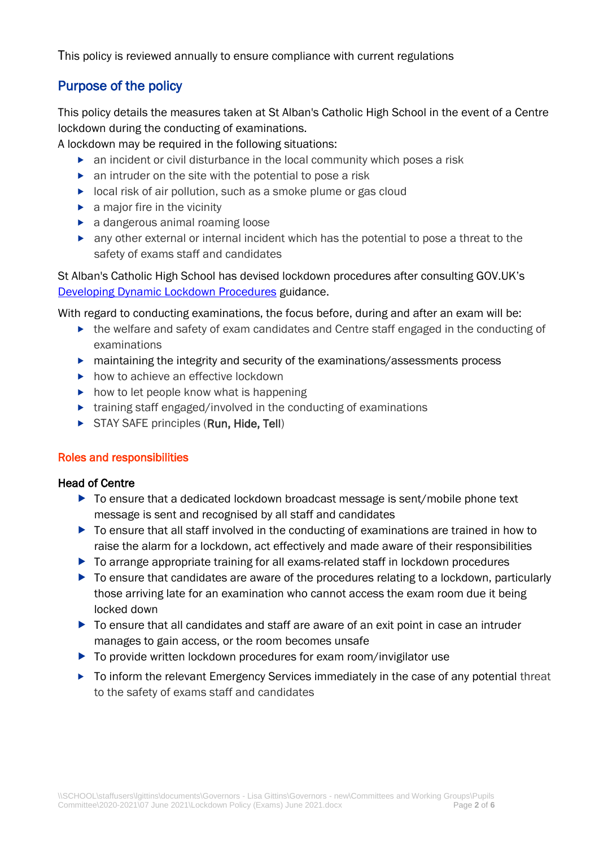This policy is reviewed annually to ensure compliance with current regulations

## Purpose of the policy

This policy details the measures taken at St Alban's Catholic High School in the event of a Centre lockdown during the conducting of examinations.

A lockdown may be required in the following situations:

- an incident or civil disturbance in the local community which poses a risk
- $\triangleright$  an intruder on the site with the potential to pose a risk
- ▶ local risk of air pollution, such as a smoke plume or gas cloud
- $\blacktriangleright$  a major fire in the vicinity
- **a** dangerous animal roaming loose
- any other external or internal incident which has the potential to pose a threat to the safety of exams staff and candidates

St Alban's Catholic High School has devised lockdown procedures after consulting GOV.UK's [Developing Dynamic Lockdown Procedures](https://www.gov.uk/government/publications/developing-dynamic-lockdown-procedures) guidance.

With regard to conducting examinations, the focus before, during and after an exam will be:

- $\triangleright$  the welfare and safety of exam candidates and Centre staff engaged in the conducting of examinations
- maintaining the integrity and security of the examinations/assessments process
- $\blacktriangleright$  how to achieve an effective lockdown
- $\triangleright$  how to let people know what is happening
- $\triangleright$  training staff engaged/involved in the conducting of examinations
- STAY SAFE principles (Run. Hide. Tell)

#### Roles and responsibilities

#### Head of Centre

- ▶ To ensure that a dedicated lockdown broadcast message is sent/mobile phone text message is sent and recognised by all staff and candidates
- ▶ To ensure that all staff involved in the conducting of examinations are trained in how to raise the alarm for a lockdown, act effectively and made aware of their responsibilities
- ▶ To arrange appropriate training for all exams-related staff in lockdown procedures
- ▶ To ensure that candidates are aware of the procedures relating to a lockdown, particularly those arriving late for an examination who cannot access the exam room due it being locked down
- ▶ To ensure that all candidates and staff are aware of an exit point in case an intruder manages to gain access, or the room becomes unsafe
- ▶ To provide written lockdown procedures for exam room/invigilator use
- $\triangleright$  To inform the relevant Emergency Services immediately in the case of any potential threat to the safety of exams staff and candidates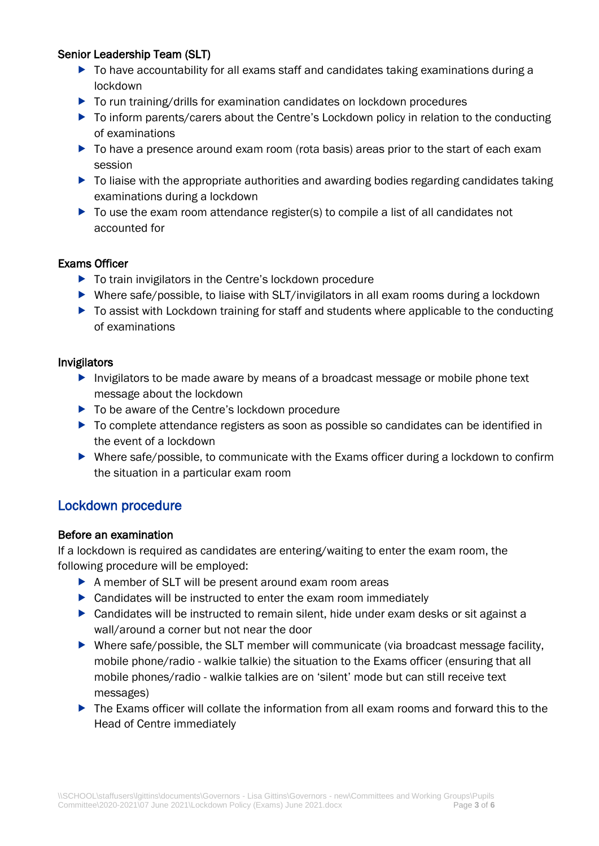#### Senior Leadership Team (SLT)

- ▶ To have accountability for all exams staff and candidates taking examinations during a lockdown
- ▶ To run training/drills for examination candidates on lockdown procedures
- ▶ To inform parents/carers about the Centre's Lockdown policy in relation to the conducting of examinations
- ▶ To have a presence around exam room (rota basis) areas prior to the start of each exam session
- $\triangleright$  To liaise with the appropriate authorities and awarding bodies regarding candidates taking examinations during a lockdown
- ▶ To use the exam room attendance register(s) to compile a list of all candidates not accounted for

#### Exams Officer

- ▶ To train invigilators in the Centre's lockdown procedure
- Where safe/possible, to liaise with SLT/invigilators in all exam rooms during a lockdown
- ▶ To assist with Lockdown training for staff and students where applicable to the conducting of examinations

#### Invigilators

- Invigilators to be made aware by means of a broadcast message or mobile phone text message about the lockdown
- ▶ To be aware of the Centre's lockdown procedure
- ▶ To complete attendance registers as soon as possible so candidates can be identified in the event of a lockdown
- Where safe/possible, to communicate with the Exams officer during a lockdown to confirm the situation in a particular exam room

### Lockdown procedure

#### Before an examination

If a lockdown is required as candidates are entering/waiting to enter the exam room, the following procedure will be employed:

- A member of SLT will be present around exam room areas
- ▶ Candidates will be instructed to enter the exam room immediately
- Candidates will be instructed to remain silent, hide under exam desks or sit against a wall/around a corner but not near the door
- Where safe/possible, the SLT member will communicate (via broadcast message facility, mobile phone/radio - walkie talkie) the situation to the Exams officer (ensuring that all mobile phones/radio - walkie talkies are on 'silent' mode but can still receive text messages)
- ▶ The Exams officer will collate the information from all exam rooms and forward this to the Head of Centre immediately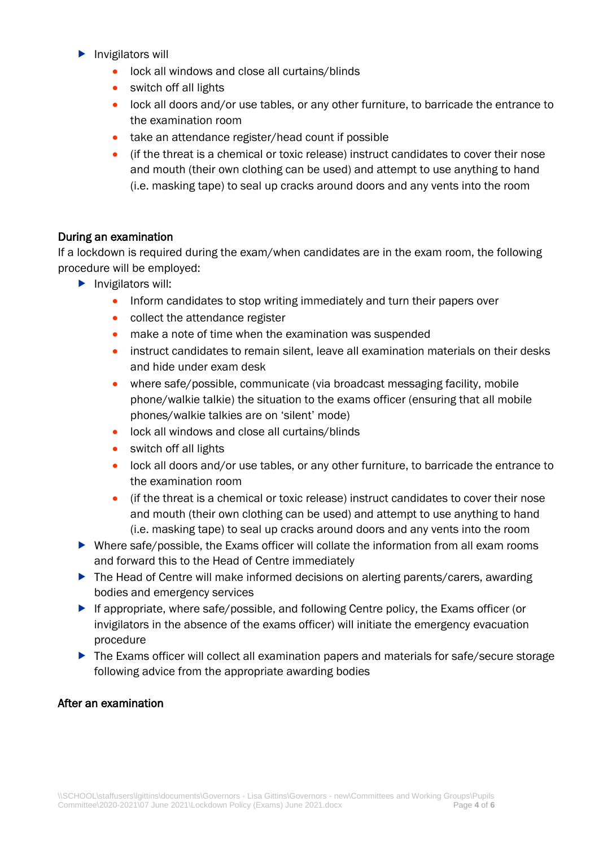#### $\blacktriangleright$  Invigilators will

- lock all windows and close all curtains/blinds
- switch off all lights
- lock all doors and/or use tables, or any other furniture, to barricade the entrance to the examination room
- take an attendance register/head count if possible
- (if the threat is a chemical or toxic release) instruct candidates to cover their nose and mouth (their own clothing can be used) and attempt to use anything to hand (i.e. masking tape) to seal up cracks around doors and any vents into the room

#### During an examination

If a lockdown is required during the exam/when candidates are in the exam room, the following procedure will be employed:

- Invigilators will:
	- Inform candidates to stop writing immediately and turn their papers over
	- collect the attendance register
	- make a note of time when the examination was suspended
	- instruct candidates to remain silent, leave all examination materials on their desks and hide under exam desk
	- where safe/possible, communicate (via broadcast messaging facility, mobile phone/walkie talkie) the situation to the exams officer (ensuring that all mobile phones/walkie talkies are on 'silent' mode)
	- lock all windows and close all curtains/blinds
	- switch off all lights
	- lock all doors and/or use tables, or any other furniture, to barricade the entrance to the examination room
	- (if the threat is a chemical or toxic release) instruct candidates to cover their nose and mouth (their own clothing can be used) and attempt to use anything to hand (i.e. masking tape) to seal up cracks around doors and any vents into the room
- Where safe/possible, the Exams officer will collate the information from all exam rooms and forward this to the Head of Centre immediately
- ▶ The Head of Centre will make informed decisions on alerting parents/carers, awarding bodies and emergency services
- ▶ If appropriate, where safe/possible, and following Centre policy, the Exams officer (or invigilators in the absence of the exams officer) will initiate the emergency evacuation procedure
- ▶ The Exams officer will collect all examination papers and materials for safe/secure storage following advice from the appropriate awarding bodies

#### After an examination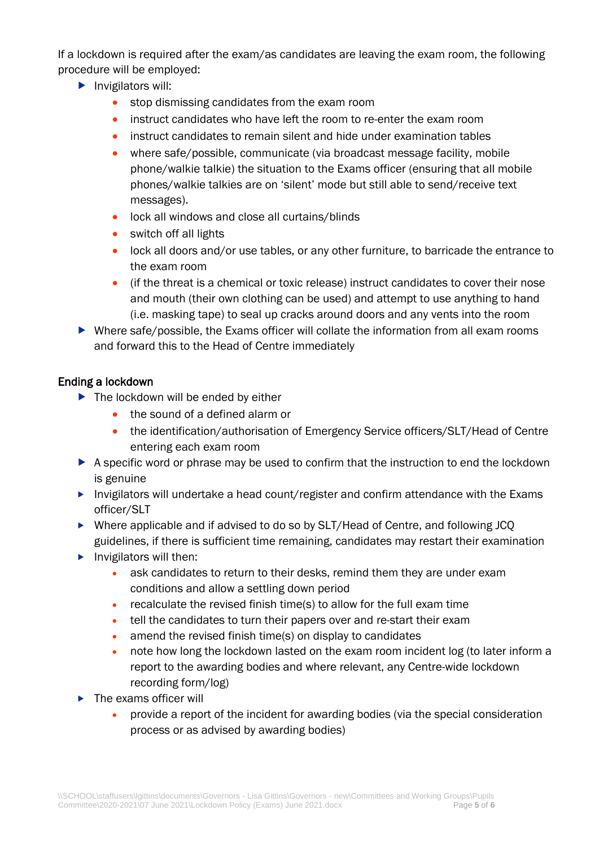If a lockdown is required after the exam/as candidates are leaving the exam room, the following procedure will be employed:

- $\blacktriangleright$  Invigilators will:
	- stop dismissing candidates from the exam room
	- instruct candidates who have left the room to re-enter the exam room
	- instruct candidates to remain silent and hide under examination tables
	- where safe/possible, communicate (via broadcast message facility, mobile phone/walkie talkie) the situation to the Exams officer (ensuring that all mobile phones/walkie talkies are on 'silent' mode but still able to send/receive text messages).
	- lock all windows and close all curtains/blinds
	- switch off all lights
	- lock all doors and/or use tables, or any other furniture, to barricade the entrance to the exam room
	- (if the threat is a chemical or toxic release) instruct candidates to cover their nose and mouth (their own clothing can be used) and attempt to use anything to hand (i.e. masking tape) to seal up cracks around doors and any vents into the room
- Where safe/possible, the Exams officer will collate the information from all exam rooms and forward this to the Head of Centre immediately

#### Ending a lockdown

- $\blacktriangleright$  The lockdown will be ended by either
	- the sound of a defined alarm or
	- the identification/authorisation of Emergency Service officers/SLT/Head of Centre entering each exam room
- A specific word or phrase may be used to confirm that the instruction to end the lockdown is genuine
- ▶ Invigilators will undertake a head count/register and confirm attendance with the Exams officer/SLT
- Where applicable and if advised to do so by SLT/Head of Centre, and following JCQ guidelines, if there is sufficient time remaining, candidates may restart their examination
- ▶ Invigilators will then:
	- ask candidates to return to their desks, remind them they are under exam conditions and allow a settling down period
	- recalculate the revised finish time(s) to allow for the full exam time
	- tell the candidates to turn their papers over and re-start their exam
	- amend the revised finish time(s) on display to candidates
	- note how long the lockdown lasted on the exam room incident log (to later inform a report to the awarding bodies and where relevant, any Centre-wide lockdown recording form/log)
- $\blacktriangleright$  The exams officer will
	- provide a report of the incident for awarding bodies (via the special consideration process or as advised by awarding bodies)